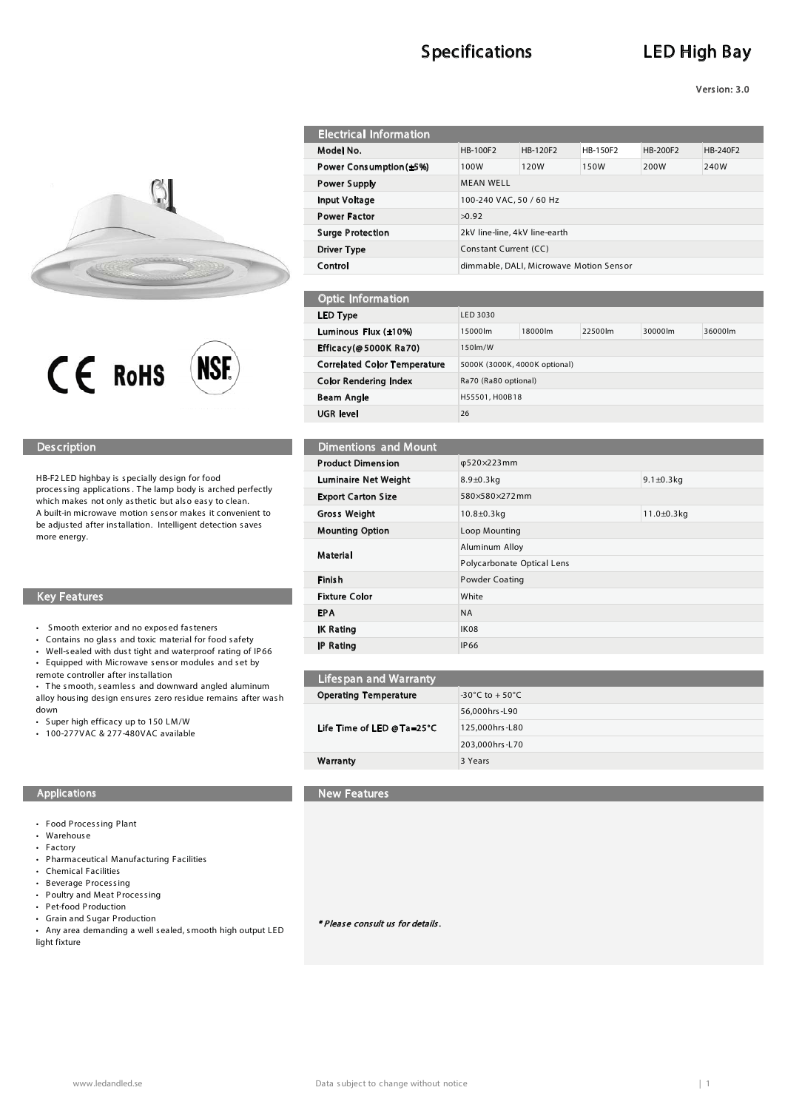# **Specifications**

# **LED High Bay**

Version: 3.0





### **Description**

HB-F2 LED highbay is specially design for food processing applications. The lamp body is arched perfectly which makes not only as thetic but also easy to clean. A built-in microwave motion sensor makes it convenient to be adjusted after installation. Intelligent detection saves more energy.

### **Key Features**

- Smooth exterior and no exposed fasteners
- Contains no glass and toxic material for food safety
- $\ddot{\phantom{a}}$ Well-sealed with dust tight and waterproof rating of IP66
- Equipped with Microwave sensor modules and set by
- remote controller after installation

• The smooth, seamless and downward angled aluminum alloy housing design ensures zero residue remains after wash down

- Super high efficacy up to 150 LM/W
- 100-277VAC & 277-480VAC available

### Applications

- Food Processing Plant
- Warehouse
- Factory
- Pharmaceutical Manufacturing Facilities
- Chemical Facilities
- Beverage Processing
- Poultry and Meat Processing • Pet-food Production
- Grain and Sugar Production
- Any area demanding a well sealed, smooth high output LED light fixture

| HB-100F2                                | HB-120F2 |      | HB-200F2 | HB-240F2 |
|-----------------------------------------|----------|------|----------|----------|
| 100W                                    | 120W     | 150W | 200W     | 240W     |
| <b>MEAN WELL</b>                        |          |      |          |          |
| 100-240 VAC, 50 / 60 Hz                 |          |      |          |          |
| >0.92                                   |          |      |          |          |
| 2kV line-line, 4kV line-earth           |          |      |          |          |
| Constant Current (CC)                   |          |      |          |          |
| dimmable, DALI, Microwave Motion Sensor |          |      |          |          |
|                                         |          |      | HB-150F2 |          |

| <b>Optic Information</b>            |                               |         |         |         |         |
|-------------------------------------|-------------------------------|---------|---------|---------|---------|
| LED Type                            | LED 3030                      |         |         |         |         |
| Luminous Flux (±10%)                | 15000lm                       | 18000lm | 22500lm | 30000lm | 36000lm |
| Efficacy(@5000K Ra70)               | 150lm/W                       |         |         |         |         |
| <b>Correlated Color Temperature</b> | 5000K (3000K, 4000K optional) |         |         |         |         |
| Color Rendering Index               | Ra70 (Ra80 optional)          |         |         |         |         |
| Beam Angle                          | H55501, H00B18                |         |         |         |         |
| UGR level                           | 26                            |         |         |         |         |
|                                     |                               |         |         |         |         |

## Dimentions and Mount

| <b>Product Dimension</b>    | φ520×223mm                             |  |  |
|-----------------------------|----------------------------------------|--|--|
| <b>Luminaire Net Weight</b> | 9.1 $\pm$ 0.3 $kg$<br>$8.9 \pm 0.3$ kg |  |  |
| <b>Export Carton Size</b>   | 580×580×272mm                          |  |  |
| <b>Gross Weight</b>         | $11.0 \pm 0.3$ kg<br>$10.8 \pm 0.3$ kg |  |  |
| <b>Mounting Option</b>      | Loop Mounting                          |  |  |
| Material                    | Aluminum Alloy                         |  |  |
|                             | Polycarbonate Optical Lens             |  |  |
| Finish                      | Powder Coating                         |  |  |
| <b>Fixture Color</b>        | White                                  |  |  |
| <b>EPA</b>                  | <b>NA</b>                              |  |  |
| <b>IK Rating</b>            | <b>IK08</b>                            |  |  |
| <b>IP Rating</b>            | <b>IP66</b>                            |  |  |

| <b>Lifespan and Warranty</b> |                                    |
|------------------------------|------------------------------------|
| <b>Operating Temperature</b> | $-30^{\circ}$ C to $+50^{\circ}$ C |
| Life Time of LED @ Ta=25°C   | 56.000hrs-L90                      |
|                              | 125,000hrs-L80                     |
|                              | 203,000hrs-L70                     |
| Warranty                     | 3 Years                            |
|                              |                                    |

### New Features

\* Please consult us for details.